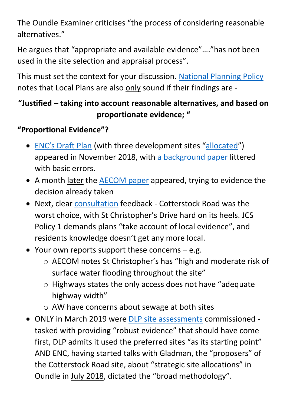The Oundle Examiner criticises "the process of considering reasonable alternatives."

He argues that "appropriate and available evidence"…."has not been used in the site selection and appraisal process".

This must set the context for your discussion. [National Planning Policy](https://assets.publishing.service.gov.uk/government/uploads/system/uploads/attachment_data/file/810197/NPPF_Feb_2019_revised.pdf) notes that Local Plans are also only sound if their findings are -

## **"Justified – taking into account reasonable alternatives, and based on proportionate evidence; "**

## **"Proportional Evidence"?**

- [ENC's Draft Plan](https://www.east-northamptonshire.gov.uk/meetings/meeting/1029/planning_policy_committee) (with three development sites "[allocated](file://///os-profile04/Staff_H-L$/IDC/IDC/Downloads/01_East_Northamptonshire_Local_Plan_Part_2_1st_consultation_draft%20(2).pdf)") appeared in November 2018, with [a background paper](https://www.east-northamptonshire.gov.uk/downloads/file/11074/oundle_site_assessments) littered with basic errors.
- A month later the **AECOM paper** appeared, trying to evidence the decision already taken
- Next, clear [consultation](https://www.east-northamptonshire.gov.uk/downloads/file/11119/representations_received_during_draft_local_plan_consultations) feedback Cotterstock Road was the worst choice, with St Christopher's Drive hard on its heels. JCS Policy 1 demands plans "take account of local evidence", and residents knowledge doesn't get any more local.
- Your own reports support these concerns  $-$  e.g.
	- o AECOM notes St Christopher's has "high and moderate risk of surface water flooding throughout the site"
	- o Highways states the only access does not have "adequate highway width"
	- o AW have concerns about sewage at both sites
- ONLY in March 2019 were DLP [site assessments](https://www.east-northamptonshire.gov.uk/downloads/file/11546/appendix_13_-_dlp_site_assessment_july_2019) commissioned tasked with providing "robust evidence" that should have come first, DLP admits it used the preferred sites "as its starting point" AND ENC, having started talks with Gladman, the "proposers" of the Cotterstock Road site, about "strategic site allocations" in Oundle in July 2018, dictated the "broad methodology".